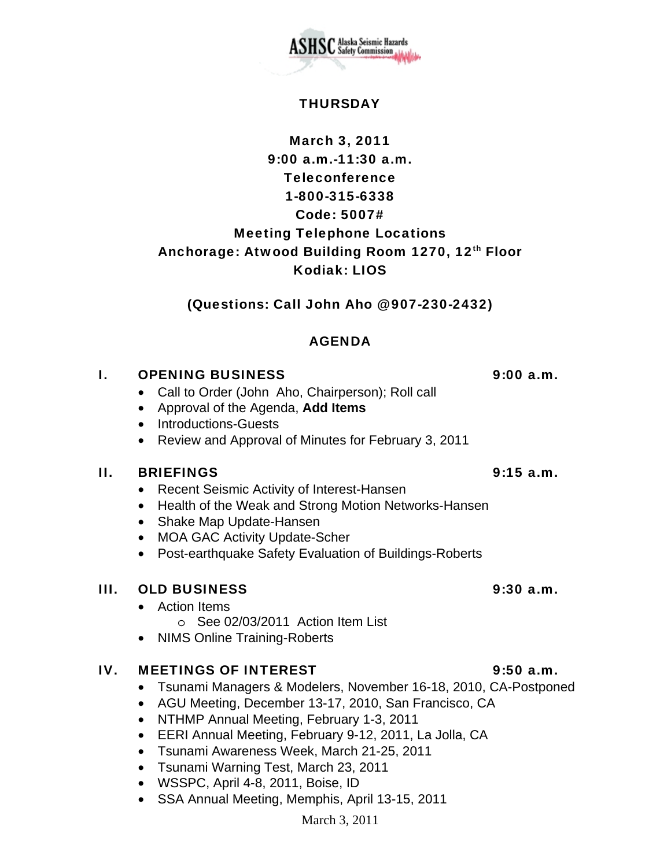

## **THURSDAY**

# March 3, 2011 9:00 a.m.-11:30 a.m. Teleconference 1-800-315-6338 Code: 5007# Meeting Telephone Locations Anchorage: Atwood Building Room 1270, 12th Floor Kodiak: LIOS

(Questions: Call John Aho @ 907-230-2432)

## AGENDA

## I. OPENING BUSINESS 9:00 a.m.

- Call to Order (John Aho, Chairperson); Roll call
- Approval of the Agenda, **Add Items**
- Introductions-Guests
- Review and Approval of Minutes for February 3, 2011

## II. BRIEFINGS 9:15 a.m.

- Recent Seismic Activity of Interest-Hansen
- Health of the Weak and Strong Motion Networks-Hansen
- Shake Map Update-Hansen
- MOA GAC Activity Update-Scher
- Post-earthquake Safety Evaluation of Buildings-Roberts

## III. OLD BUSINESS 9:30 a.m.

- Action Items
	- o See 02/03/2011 Action Item List
- NIMS Online Training-Roberts

## IV. MEETINGS OF INTEREST 9:50 a.m.

- Tsunami Managers & Modelers, November 16-18, 2010, CA-Postponed
- AGU Meeting, December 13-17, 2010, San Francisco, CA
- NTHMP Annual Meeting, February 1-3, 2011
- EERI Annual Meeting, February 9-12, 2011, La Jolla, CA
- Tsunami Awareness Week, March 21-25, 2011
- Tsunami Warning Test, March 23, 2011
- WSSPC, April 4-8, 2011, Boise, ID
- SSA Annual Meeting, Memphis, April 13-15, 2011

### March 3, 2011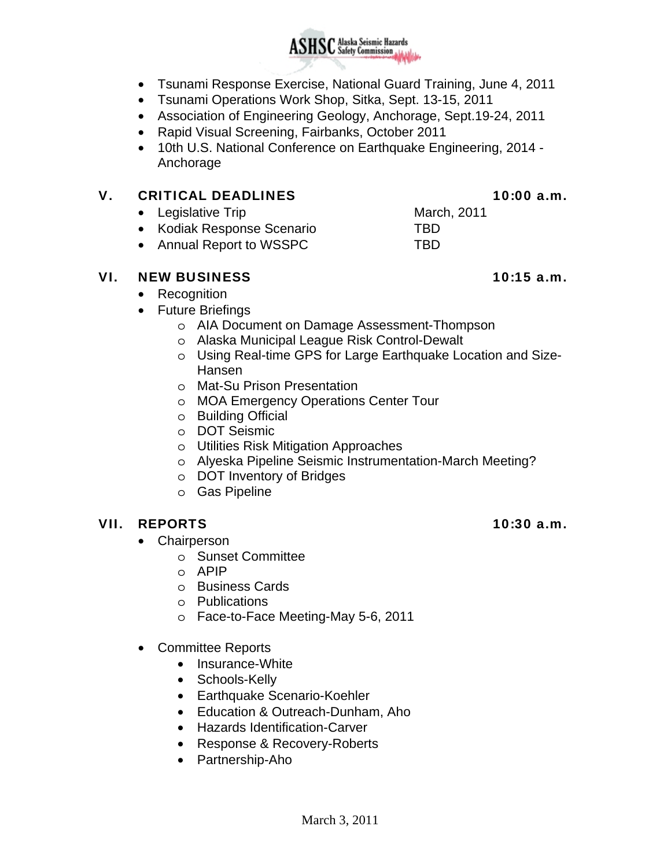- Tsunami Response Exercise, National Guard Training, June 4, 2011
- Tsunami Operations Work Shop, Sitka, Sept. 13-15, 2011
- Association of Engineering Geology, Anchorage, Sept.19-24, 2011
- Rapid Visual Screening, Fairbanks, October 2011
- 10th U.S. National Conference on Earthquake Engineering, 2014 Anchorage

### V. CRITICAL DEADLINES 10:00 a.m.

- Legislative Trip March, 2011
- Kodiak Response Scenario TBD
- Annual Report to WSSPC TBD

### VI. NEW BUSINESS 10:15 a.m.

- Recognition
- Future Briefings
	- o AIA Document on Damage Assessment-Thompson
	- o Alaska Municipal League Risk Control-Dewalt
	- o Using Real-time GPS for Large Earthquake Location and Size-Hansen
	- o Mat-Su Prison Presentation
	- o MOA Emergency Operations Center Tour
	- o Building Official
	- o DOT Seismic
	- o Utilities Risk Mitigation Approaches
	- o Alyeska Pipeline Seismic Instrumentation-March Meeting?
	- o DOT Inventory of Bridges
	-

### VII. REPORTS 10:30 a.m.

- Chairperson
	- o Sunset Committee
	- o APIP
	- o Business Cards
	- o Publications
	- o Face-to-Face Meeting-May 5-6, 2011
- Committee Reports
	- Insurance-White
	- Schools-Kelly
	- Earthquake Scenario-Koehler
	- Education & Outreach-Dunham, Aho
	- Hazards Identification-Carver
	- Response & Recovery-Roberts
	- Partnership-Aho

- 
- 
- 
- 
- 
- 
- 
- 
- 
- o Gas Pipeline

- 
- 
- 
- 

- 
- 
-